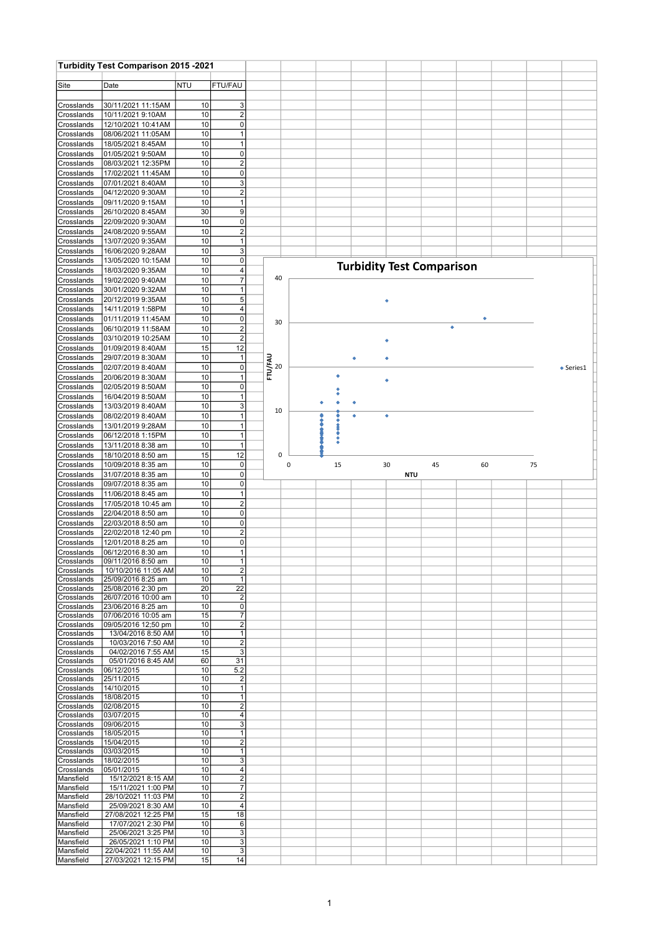|                          | Turbidity Test Comparison 2015 -2021       |                                    |                                  |                               |                |    |                                  |    |            |    |    |    |           |
|--------------------------|--------------------------------------------|------------------------------------|----------------------------------|-------------------------------|----------------|----|----------------------------------|----|------------|----|----|----|-----------|
| Site                     | Date                                       | NTU                                | FTU/FAU                          |                               |                |    |                                  |    |            |    |    |    |           |
|                          |                                            |                                    |                                  |                               |                |    |                                  |    |            |    |    |    |           |
| Crosslands               | 30/11/2021 11:15AM                         | 10                                 | 3                                |                               |                |    |                                  |    |            |    |    |    |           |
| Crosslands               | 10/11/2021 9:10AM<br>12/10/2021 10:41AM    | 10<br>10 <sup>1</sup>              | $\overline{2}$<br>$\Omega$       |                               |                |    |                                  |    |            |    |    |    |           |
| Crosslands<br>Crosslands | 08/06/2021 11:05AM                         | 10 <sup>1</sup>                    |                                  |                               |                |    |                                  |    |            |    |    |    |           |
| Crosslands               | 18/05/2021 8:45AM                          | 10 <sup>1</sup>                    | $\overline{1}$                   |                               |                |    |                                  |    |            |    |    |    |           |
| Crosslands               | 01/05/2021 9:50AM                          | 10                                 | $\overline{0}$                   |                               |                |    |                                  |    |            |    |    |    |           |
| Crosslands               | 08/03/2021 12:35PM                         | 10 <sup>1</sup>                    | $\mathbf{2}$                     |                               |                |    |                                  |    |            |    |    |    |           |
| Crosslands<br>Crosslands | 17/02/2021 11:45AM<br>07/01/2021 8:40AM    | 10<br>10                           | $\overline{0}$<br>3              |                               |                |    |                                  |    |            |    |    |    |           |
| Crosslands               | 04/12/2020 9:30AM                          | 10                                 | $\vert$ 2                        |                               |                |    |                                  |    |            |    |    |    |           |
| Crosslands               | 09/11/2020 9:15AM                          | 10                                 | $\mathbf{1}$                     |                               |                |    |                                  |    |            |    |    |    |           |
| Crosslands               | 26/10/2020 8:45AM                          | 30                                 | $\vert 9 \vert$                  |                               |                |    |                                  |    |            |    |    |    |           |
| Crosslands               | 22/09/2020 9:30AM<br>24/08/2020 9:55AM     | 10 <sup>1</sup><br>10              | $\overline{0}$<br>$\overline{2}$ |                               |                |    |                                  |    |            |    |    |    |           |
| Crosslands<br>Crosslands | 13/07/2020 9:35AM                          | 10                                 |                                  |                               |                |    |                                  |    |            |    |    |    |           |
| Crosslands               | 16/06/2020 9:28AM                          | 10                                 | 3                                |                               |                |    |                                  |    |            |    |    |    |           |
| Crosslands               | 13/05/2020 10:15AM                         | 10 <sup>1</sup>                    | $\mathbf 0$                      |                               |                |    | <b>Turbidity Test Comparison</b> |    |            |    |    |    |           |
| Crosslands               | 18/03/2020 9:35AM                          | 10 <sup>1</sup>                    | $\overline{4}$                   |                               | 40             |    |                                  |    |            |    |    |    |           |
| Crosslands<br>Crosslands | 19/02/2020 9:40AM<br>30/01/2020 9:32AM     | 10<br>10                           | $\overline{7}$<br>$\mathbf{1}$   |                               |                |    |                                  |    |            |    |    |    |           |
| Crosslands               | 20/12/2019 9:35AM                          | 10                                 | 5 <sup>5</sup>                   |                               |                |    |                                  | ٠  |            |    |    |    |           |
| Crosslands               | 14/11/2019 1:58PM                          | 10                                 | $\overline{4}$                   |                               |                |    |                                  |    |            |    |    |    |           |
| Crosslands               | 01/11/2019 11:45AM                         | 10                                 | $\overline{0}$                   |                               | 30             |    |                                  |    |            |    |    |    |           |
| Crosslands               | 06/10/2019 11:58AM                         | 10                                 | $\overline{2}$                   |                               |                |    |                                  |    |            | ٠  |    |    |           |
| Crosslands<br>Crosslands | 03/10/2019 10:25AM<br>01/09/2019 8:40AM    | 10 <sup>1</sup><br>15              | $\mathbf{2}$<br>12               |                               |                |    |                                  |    |            |    |    |    |           |
| Crosslands               | 29/07/2019 8:30AM                          | 10                                 | $\overline{1}$                   |                               |                |    |                                  |    |            |    |    |    |           |
| Crosslands               | 02/07/2019 8:40AM                          | 10                                 | 0                                | <b>FD/FAU</b><br>E<br>C<br>20 |                |    |                                  |    |            |    |    |    | • Series1 |
| Crosslands               | 20/06/2019 8:30AM                          | 10 <sup>1</sup>                    |                                  |                               |                |    |                                  | ٠  |            |    |    |    |           |
| Crosslands               | 02/05/2019 8:50AM                          | 10 <sup>1</sup>                    | $\mathbf 0$                      |                               |                |    |                                  |    |            |    |    |    |           |
| Crosslands<br>Crosslands | 16/04/2019 8:50AM<br>13/03/2019 8:40AM     | 10 <sup>1</sup><br>10              | $\mathbf{1}$<br>3                |                               |                |    |                                  |    |            |    |    |    |           |
| Crosslands               | 08/02/2019 8:40AM                          | 10                                 | $\overline{1}$                   |                               | 10             |    |                                  | ٠  |            |    |    |    |           |
| Crosslands               | 13/01/2019 9:28AM                          | 10                                 | $\mathbf{1}$                     |                               |                |    |                                  |    |            |    |    |    |           |
| Crosslands               | 06/12/2018 1:15PM                          | 10                                 | $\mathbf{1}$                     |                               |                |    |                                  |    |            |    |    |    |           |
| Crosslands               | 13/11/2018 8:38 am                         | 10                                 | $\overline{1}$                   |                               |                |    |                                  |    |            |    |    |    |           |
| Crosslands               | 18/10/2018 8:50 am<br>10/09/2018 8:35 am   | 15<br>10 <sup>1</sup>              | 12<br>$\overline{0}$             |                               | 0<br>$\pmb{0}$ | 15 |                                  | 30 |            | 45 | 60 | 75 |           |
| Crosslands<br>Crosslands | 31/07/2018 8:35 am                         | 10                                 | $\overline{0}$                   |                               |                |    |                                  |    | <b>NTU</b> |    |    |    |           |
| Crosslands               | 09/07/2018 8:35 am                         | 10                                 | $\overline{0}$                   |                               |                |    |                                  |    |            |    |    |    |           |
| Crosslands               | 11/06/2018 8:45 am                         | 10 <sup>1</sup>                    |                                  |                               |                |    |                                  |    |            |    |    |    |           |
| Crosslands               | 17/05/2018 10:45 am                        | 10 <sup>1</sup>                    | $\overline{2}$                   |                               |                |    |                                  |    |            |    |    |    |           |
| Crosslands               | 22/04/2018 8:50 am                         | 10 <sup>1</sup>                    | $\overline{0}$                   |                               |                |    |                                  |    |            |    |    |    |           |
| Crosslands               | 22/03/2018 8:50 am<br>22/02/2018 12:40 pm  | 10 <sup>1</sup><br>10              | $\overline{0}$<br>$\mathbf{2}$   |                               |                |    |                                  |    |            |    |    |    |           |
| Crosslands<br>Crosslands | 12/01/2018 8:25 am                         | 10                                 | $\overline{0}$                   |                               |                |    |                                  |    |            |    |    |    |           |
| Crosslands               | 06/12/2016 8:30 am                         | 10 <sup>1</sup>                    | $\mathbf{1}$                     |                               |                |    |                                  |    |            |    |    |    |           |
| Crosslands               | 09/11/2016 8:50 am                         | 10 <sup>1</sup>                    | $\vert$ 1                        |                               |                |    |                                  |    |            |    |    |    |           |
| Crosslands               | 10/10/2016 11:05 AM                        | 10 <sup>1</sup>                    | $\vert$ 2<br>$\overline{1}$      |                               |                |    |                                  |    |            |    |    |    |           |
| Crosslands<br>Crosslands | 25/09/2016 8:25 am<br>25/08/2016 2:30 pm   | 10<br>20                           | 22                               |                               |                |    |                                  |    |            |    |    |    |           |
| Crosslands               | 26/07/2016 10:00 am                        | 10 <sup>1</sup>                    | $\overline{2}$                   |                               |                |    |                                  |    |            |    |    |    |           |
| Crosslands               | 23/06/2016 8:25 am                         | 10 <sup>1</sup>                    | $\vert 0 \vert$                  |                               |                |    |                                  |    |            |    |    |    |           |
| Crosslands<br>Crosslands | 07/06/2016 10:05 am<br>09/05/2016 12;50 pm | 15 <sup>1</sup><br>10 <sup>1</sup> | $\overline{7}$<br>$\vert$ 2      |                               |                |    |                                  |    |            |    |    |    |           |
| Crosslands               | 13/04/2016 8:50 AM                         | 10 <sup>1</sup>                    | $\overline{1}$                   |                               |                |    |                                  |    |            |    |    |    |           |
| Crosslands               | 10/03/2016 7:50 AM                         | 10 <sup>1</sup>                    | $\mathbf{2}$                     |                               |                |    |                                  |    |            |    |    |    |           |
| Crosslands               | 04/02/2016 7:55 AM                         | 15                                 | $\mathbf{3}$                     |                               |                |    |                                  |    |            |    |    |    |           |
| Crosslands<br>Crosslands | 05/01/2016 8:45 AM<br>06/12/2015           | 60<br>10 <sup>1</sup>              | 31<br>5.2                        |                               |                |    |                                  |    |            |    |    |    |           |
| Crosslands               | 25/11/2015                                 | 10                                 | $\vert$ 2                        |                               |                |    |                                  |    |            |    |    |    |           |
| Crosslands               | 14/10/2015                                 | 10 <sup>1</sup>                    | $\vert$ 1                        |                               |                |    |                                  |    |            |    |    |    |           |
| Crosslands               | 18/08/2015                                 | 10 <sup>1</sup>                    | $\overline{1}$                   |                               |                |    |                                  |    |            |    |    |    |           |
| Crosslands<br>Crosslands | 02/08/2015<br>03/07/2015                   | 10<br>10                           | $\mathbf{2}$<br>$\overline{4}$   |                               |                |    |                                  |    |            |    |    |    |           |
| Crosslands               | 09/06/2015                                 | 10 <sup>1</sup>                    | $\mathbf{3}$                     |                               |                |    |                                  |    |            |    |    |    |           |
| Crosslands               | 18/05/2015                                 | 10 <sup>1</sup>                    | $\overline{1}$                   |                               |                |    |                                  |    |            |    |    |    |           |
| Crosslands               | 15/04/2015                                 | 10 <sup>1</sup>                    | $\vert$ 2                        |                               |                |    |                                  |    |            |    |    |    |           |
| Crosslands<br>Crosslands | 03/03/2015<br>18/02/2015                   | 10 <sup>1</sup><br>10 <sup>1</sup> | $\mathbf{1}$<br>$\vert 3 \vert$  |                               |                |    |                                  |    |            |    |    |    |           |
| Crosslands               | 05/01/2015                                 | 10 <sup>1</sup>                    | $\overline{4}$                   |                               |                |    |                                  |    |            |    |    |    |           |
| Mansfield                | 15/12/2021 8:15 AM                         | 10 <sup>1</sup>                    | $\mathbf{2}$                     |                               |                |    |                                  |    |            |    |    |    |           |
| Mansfield                | 15/11/2021 1:00 PM                         | 10 <sup>1</sup>                    | $\overline{7}$                   |                               |                |    |                                  |    |            |    |    |    |           |
| Mansfield<br>Mansfield   | 28/10/2021 11:03 PM<br>25/09/2021 8:30 AM  | 10 <sup>1</sup><br>10              | $\vert$ 2<br>$\overline{4}$      |                               |                |    |                                  |    |            |    |    |    |           |
| Mansfield                | 27/08/2021 12:25 PM                        | 15                                 | 18                               |                               |                |    |                                  |    |            |    |    |    |           |
| Mansfield                | 17/07/2021 2:30 PM                         | 10 <sup>1</sup>                    | $6 \mid$                         |                               |                |    |                                  |    |            |    |    |    |           |
| Mansfield                | 25/06/2021 3:25 PM<br>26/05/2021 1:10 PM   | 10 <sup>1</sup><br>10 <sup>1</sup> | $\vert 3 \vert$<br>$\mathbf{3}$  |                               |                |    |                                  |    |            |    |    |    |           |
| Mansfield<br>Mansfield   | 22/04/2021 11:55 AM                        | 10 <sup>1</sup>                    | $\mathbf{3}$                     |                               |                |    |                                  |    |            |    |    |    |           |
| Mansfield                | 27/03/2021 12:15 PM                        | 15                                 | 14                               |                               |                |    |                                  |    |            |    |    |    |           |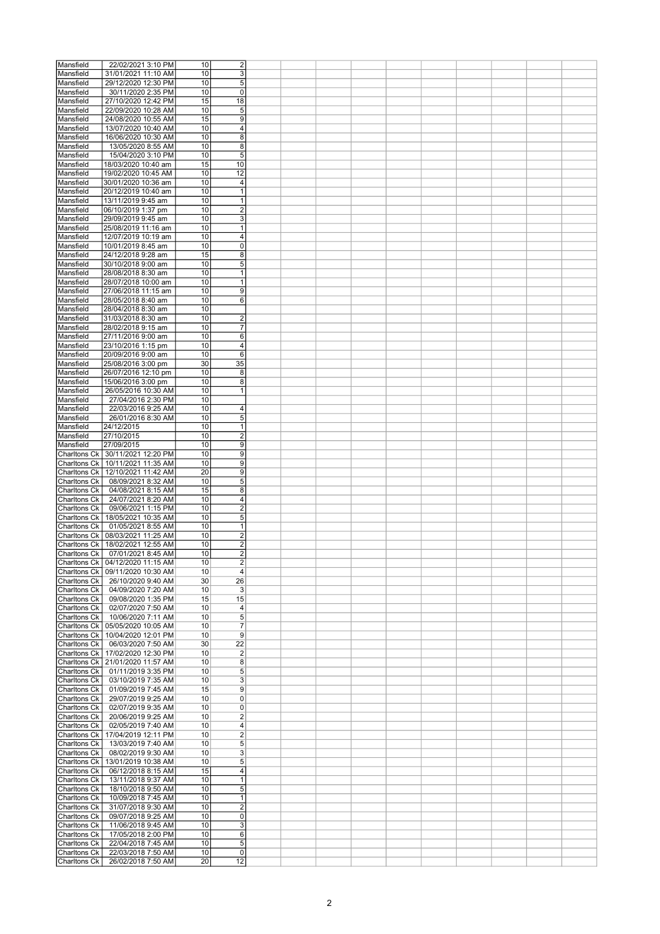| Mansfield    | 22/02/2021 3:10 PM                 | 10 | $\overline{\mathbf{c}}$ |  |  |  |  |  |
|--------------|------------------------------------|----|-------------------------|--|--|--|--|--|
|              |                                    |    |                         |  |  |  |  |  |
| Mansfield    | 31/01/2021 11:10 AM                | 10 | 3                       |  |  |  |  |  |
| Mansfield    | 29/12/2020 12:30 PM                | 10 | 5                       |  |  |  |  |  |
| Mansfield    | 30/11/2020 2:35 PM                 | 10 | $\mathbf 0$             |  |  |  |  |  |
| Mansfield    | 27/10/2020 12:42 PM                | 15 | 18                      |  |  |  |  |  |
| Mansfield    | 22/09/2020 10:28 AM                | 10 | 5                       |  |  |  |  |  |
|              |                                    |    |                         |  |  |  |  |  |
| Mansfield    | 24/08/2020 10:55 AM                | 15 | 9                       |  |  |  |  |  |
| Mansfield    | 13/07/2020 10:40 AM                | 10 | 4                       |  |  |  |  |  |
| Mansfield    | 16/06/2020 10:30 AM                | 10 | 8                       |  |  |  |  |  |
| Mansfield    | 13/05/2020 8:55 AM                 | 10 | 8                       |  |  |  |  |  |
|              |                                    |    |                         |  |  |  |  |  |
| Mansfield    | 15/04/2020 3:10 PM                 | 10 | 5                       |  |  |  |  |  |
| Mansfield    | 18/03/2020 10:40 am                | 15 | 10                      |  |  |  |  |  |
| Mansfield    | 19/02/2020 10:45 AM                | 10 | 12                      |  |  |  |  |  |
| Mansfield    | 30/01/2020 10:36 am                | 10 | 4                       |  |  |  |  |  |
| Mansfield    | 20/12/2019 10:40 am                | 10 | $\overline{1}$          |  |  |  |  |  |
|              |                                    |    |                         |  |  |  |  |  |
| Mansfield    | 13/11/2019 9:45 am                 | 10 | 1                       |  |  |  |  |  |
| Mansfield    | 06/10/2019 1:37 pm                 | 10 | $\overline{\mathbf{c}}$ |  |  |  |  |  |
| Mansfield    | 29/09/2019 9:45 am                 | 10 | 3                       |  |  |  |  |  |
| Mansfield    | 25/08/2019 11:16 am                | 10 | $\mathbf{1}$            |  |  |  |  |  |
|              |                                    |    |                         |  |  |  |  |  |
| Mansfield    | 12/07/2019 10:19 am                | 10 | 4                       |  |  |  |  |  |
| Mansfield    | 10/01/2019 8:45 am                 | 10 | $\mathbf 0$             |  |  |  |  |  |
| Mansfield    | 24/12/2018 9:28 am                 | 15 | $\overline{8}$          |  |  |  |  |  |
| Mansfield    | 30/10/2018 9:00 am                 | 10 | 5                       |  |  |  |  |  |
| Mansfield    | 28/08/2018 8:30 am                 | 10 | 1                       |  |  |  |  |  |
|              |                                    |    |                         |  |  |  |  |  |
| Mansfield    | 28/07/2018 10:00 am                | 10 | $\mathbf{1}$            |  |  |  |  |  |
| Mansfield    | 27/06/2018 11:15 am                | 10 | $\overline{9}$          |  |  |  |  |  |
| Mansfield    | 28/05/2018 8:40 am                 | 10 | 6                       |  |  |  |  |  |
| Mansfield    | 28/04/2018 8:30 am                 | 10 |                         |  |  |  |  |  |
| Mansfield    | 31/03/2018 8:30 am                 | 10 | $\overline{2}$          |  |  |  |  |  |
|              |                                    |    |                         |  |  |  |  |  |
| Mansfield    | 28/02/2018 9:15 am                 | 10 | $\overline{7}$          |  |  |  |  |  |
| Mansfield    | 27/11/2016 9:00 am                 | 10 | $\overline{6}$          |  |  |  |  |  |
| Mansfield    | 23/10/2016 1:15 pm                 | 10 | 4                       |  |  |  |  |  |
| Mansfield    | 20/09/2016 9:00 am                 | 10 | 6                       |  |  |  |  |  |
| Mansfield    | 25/08/2016 3:00 pm                 | 30 | 35                      |  |  |  |  |  |
|              |                                    |    |                         |  |  |  |  |  |
| Mansfield    | 26/07/2016 12:10 pm                | 10 | 8                       |  |  |  |  |  |
| Mansfield    | 15/06/2016 3:00 pm                 | 10 | 8                       |  |  |  |  |  |
| Mansfield    | 26/05/2016 10:30 AM                | 10 | $\mathbf{1}$            |  |  |  |  |  |
| Mansfield    | 27/04/2016 2:30 PM                 | 10 |                         |  |  |  |  |  |
| Mansfield    | 22/03/2016 9:25 AM                 | 10 |                         |  |  |  |  |  |
|              |                                    |    | 4                       |  |  |  |  |  |
| Mansfield    | 26/01/2016 8:30 AM                 | 10 | $\overline{5}$          |  |  |  |  |  |
| Mansfield    | 24/12/2015                         | 10 | $\mathbf{1}$            |  |  |  |  |  |
| Mansfield    | 27/10/2015                         | 10 | $\overline{2}$          |  |  |  |  |  |
| Mansfield    | 27/09/2015                         | 10 | 9                       |  |  |  |  |  |
|              |                                    |    |                         |  |  |  |  |  |
|              | Charltons Ck   30/11/2021 12:20 PM | 10 | $\overline{9}$          |  |  |  |  |  |
|              | Charltons Ck   10/11/2021 11:35 AM | 10 | 9                       |  |  |  |  |  |
| Charltons Ck | 12/10/2021 11:42 AM                | 20 | 9                       |  |  |  |  |  |
| Charltons Ck | 08/09/2021 8:32 AM                 | 10 | 5                       |  |  |  |  |  |
| Charltons Ck | 04/08/2021 8:15 AM                 | 15 | 8                       |  |  |  |  |  |
|              |                                    |    |                         |  |  |  |  |  |
| Charltons Ck | 24/07/2021 8:20 AM                 | 10 | 4                       |  |  |  |  |  |
| Charltons Ck | 09/06/2021 1:15 PM                 | 10 | $\overline{\mathbf{c}}$ |  |  |  |  |  |
| Charltons Ck | 18/05/2021 10:35 AM                | 10 | $\overline{5}$          |  |  |  |  |  |
| Charltons Ck | 01/05/2021 8:55 AM                 | 10 | $\mathbf{1}$            |  |  |  |  |  |
| Charltons Ck | 08/03/2021 11:25 AM                | 10 | $\overline{2}$          |  |  |  |  |  |
|              |                                    |    |                         |  |  |  |  |  |
| Charltons Ck | 18/02/2021 12:55 AM                | 10 | $\overline{2}$          |  |  |  |  |  |
| Charltons Ck | 07/01/2021 8:45 AM                 | 10 | $\overline{2}$          |  |  |  |  |  |
|              | Charltons Ck   04/12/2020 11:15 AM | 10 | $\overline{2}$          |  |  |  |  |  |
| Charltons Ck | 09/11/2020 10:30 AM                | 10 | $\overline{4}$          |  |  |  |  |  |
|              |                                    |    |                         |  |  |  |  |  |
| Charltons Ck | 26/10/2020 9:40 AM                 | 30 | 26                      |  |  |  |  |  |
| Charltons Ck | 04/09/2020 7:20 AM                 | 10 | 3                       |  |  |  |  |  |
| Charltons Ck | 09/08/2020 1:35 PM                 | 15 | 15                      |  |  |  |  |  |
| Charltons Ck | 02/07/2020 7:50 AM                 | 10 | 4                       |  |  |  |  |  |
| Charltons Ck | 10/06/2020 7:11 AM                 | 10 | 5                       |  |  |  |  |  |
| Charltons Ck | 05/05/2020 10:05 AM                | 10 | $\overline{7}$          |  |  |  |  |  |
|              |                                    |    |                         |  |  |  |  |  |
| Charltons Ck | 10/04/2020 12:01 PM                | 10 | 9                       |  |  |  |  |  |
| Charltons Ck | 06/03/2020 7:50 AM                 | 30 | 22                      |  |  |  |  |  |
| Charltons Ck | 17/02/2020 12:30 PM                | 10 | $\overline{2}$          |  |  |  |  |  |
|              | Charltons Ck   21/01/2020 11:57 AM | 10 | 8                       |  |  |  |  |  |
| Charltons Ck | 01/11/2019 3:35 PM                 | 10 | 5                       |  |  |  |  |  |
|              | 03/10/2019 7:35 AM                 |    |                         |  |  |  |  |  |
| Charltons Ck |                                    | 10 | 3                       |  |  |  |  |  |
| Charltons Ck | 01/09/2019 7:45 AM                 | 15 | 9                       |  |  |  |  |  |
| Charltons Ck | 29/07/2019 9:25 AM                 | 10 | 0                       |  |  |  |  |  |
| Charltons Ck | 02/07/2019 9:35 AM                 | 10 | 0                       |  |  |  |  |  |
| Charltons Ck | 20/06/2019 9:25 AM                 | 10 | $\overline{c}$          |  |  |  |  |  |
| Charltons Ck | 02/05/2019 7:40 AM                 | 10 | 4                       |  |  |  |  |  |
|              |                                    |    |                         |  |  |  |  |  |
| Charltons Ck | 17/04/2019 12:11 PM                | 10 | $\overline{2}$          |  |  |  |  |  |
| Charltons Ck | 13/03/2019 7:40 AM                 | 10 | $\overline{5}$          |  |  |  |  |  |
| Charltons Ck | 08/02/2019 9:30 AM                 | 10 | 3                       |  |  |  |  |  |
| Charltons Ck | 13/01/2019 10:38 AM                | 10 | 5                       |  |  |  |  |  |
| Charltons Ck | 06/12/2018 8:15 AM                 | 15 | 4                       |  |  |  |  |  |
|              |                                    |    |                         |  |  |  |  |  |
| Charltons Ck | 13/11/2018 9:37 AM                 | 10 | $\mathbf{1}$            |  |  |  |  |  |
| Charltons Ck | 18/10/2018 9:50 AM                 | 10 | 5                       |  |  |  |  |  |
| Charltons Ck | 10/09/2018 7:45 AM                 | 10 | $\mathbf{1}$            |  |  |  |  |  |
| Charltons Ck | 31/07/2018 9:30 AM                 | 10 | $\overline{2}$          |  |  |  |  |  |
| Charltons Ck |                                    | 10 | $\mathbf 0$             |  |  |  |  |  |
|              | 09/07/2018 9:25 AM                 |    |                         |  |  |  |  |  |
| Charltons Ck | 11/06/2018 9:45 AM                 | 10 | 3                       |  |  |  |  |  |
| Charltons Ck | 17/05/2018 2:00 PM                 | 10 | 6                       |  |  |  |  |  |
| Charltons Ck | 22/04/2018 7:45 AM                 | 10 | $\overline{5}$          |  |  |  |  |  |
| Charltons Ck | 22/03/2018 7:50 AM                 | 10 | $\mathbf 0$             |  |  |  |  |  |
| Charltons Ck | 26/02/2018 7:50 AM                 | 20 | 12                      |  |  |  |  |  |
|              |                                    |    |                         |  |  |  |  |  |